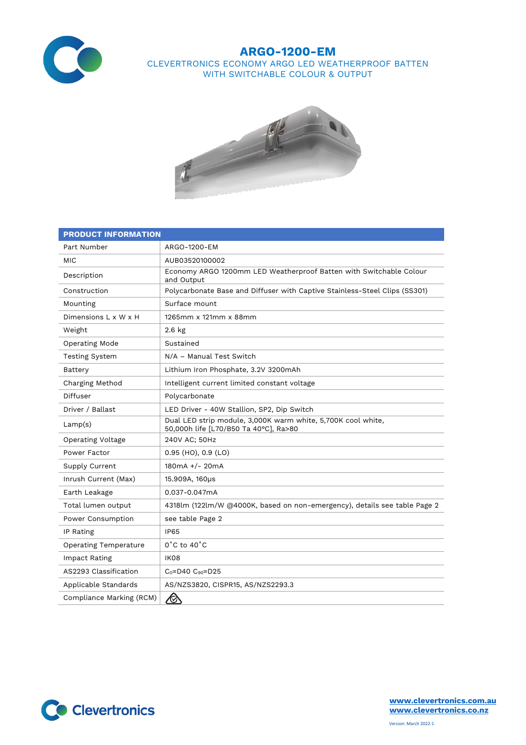

## **ARGO-1200-EM** CLEVERTRONICS ECONOMY ARGO LED WEATHERPROOF BATTEN WITH SWITCHABLE COLOUR & OUTPUT



| <b>PRODUCT INFORMATION</b>   |                                                                                                       |  |  |  |
|------------------------------|-------------------------------------------------------------------------------------------------------|--|--|--|
| Part Number                  | ARGO-1200-EM                                                                                          |  |  |  |
| <b>MIC</b>                   | AUB03520100002                                                                                        |  |  |  |
| Description                  | Economy ARGO 1200mm LED Weatherproof Batten with Switchable Colour<br>and Output                      |  |  |  |
| Construction                 | Polycarbonate Base and Diffuser with Captive Stainless-Steel Clips (SS301)                            |  |  |  |
| Mounting                     | Surface mount                                                                                         |  |  |  |
| Dimensions L x W x H         | 1265mm x 121mm x 88mm                                                                                 |  |  |  |
| Weight                       | $2.6$ kg                                                                                              |  |  |  |
| Operating Mode               | Sustained                                                                                             |  |  |  |
| <b>Testing System</b>        | N/A - Manual Test Switch                                                                              |  |  |  |
| Battery                      | Lithium Iron Phosphate, 3.2V 3200mAh                                                                  |  |  |  |
| Charging Method              | Intelligent current limited constant voltage                                                          |  |  |  |
| Diffuser                     | Polycarbonate                                                                                         |  |  |  |
| Driver / Ballast             | LED Driver - 40W Stallion, SP2, Dip Switch                                                            |  |  |  |
| Lamp(s)                      | Dual LED strip module, 3,000K warm white, 5,700K cool white,<br>50,000h life [L70/B50 Ta 40°C], Ra>80 |  |  |  |
| Operating Voltage            | 240V AC; 50Hz                                                                                         |  |  |  |
| Power Factor                 | $0.95$ (HO), $0.9$ (LO)                                                                               |  |  |  |
| Supply Current               | 180mA +/- 20mA                                                                                        |  |  |  |
| Inrush Current (Max)         | 15.909A, 160µs                                                                                        |  |  |  |
| Earth Leakage                | 0.037-0.047mA                                                                                         |  |  |  |
| Total lumen output           | 4318lm (122lm/W @4000K, based on non-emergency), details see table Page 2                             |  |  |  |
| Power Consumption            | see table Page 2                                                                                      |  |  |  |
| IP Rating                    | <b>IP65</b>                                                                                           |  |  |  |
| <b>Operating Temperature</b> | $0^{\circ}$ C to $40^{\circ}$ C                                                                       |  |  |  |
| Impact Rating                | <b>IK08</b>                                                                                           |  |  |  |
| AS2293 Classification        | $C_0 = D40$ $C_{90} = D25$                                                                            |  |  |  |
| Applicable Standards         | AS/NZS3820, CISPR15, AS/NZS2293.3                                                                     |  |  |  |
| Compliance Marking (RCM)     | $\bigotimes$                                                                                          |  |  |  |